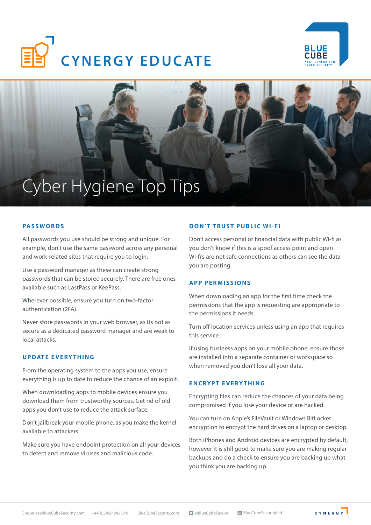





### **PASSWORDS**

All passwords you use should be strong and unique. For example, don't use the same password across any personal and work-related sites that require you to login.

Use a password manager as these can create strong passwords that can be stored securely. There are free ones available such as LastPass or KeePass.

Wherever possible, ensure you turn on two-factor authentication (2FA).

Never store passwords in your web browser, as its not as secure as a dedicated password manager and are weak to local attacks.

## **UPDATE EVERYTHING**

From the operating system to the apps you use, ensure everything is up to date to reduce the chance of an exploit.

When downloading apps to mobile devices ensure you download them from trustworthy sources. Get rid of old apps you don't use to reduce the attack surface.

Don't jailbreak your mobile phone, as you make the kernel available to attackers.

Make sure you have endpoint protection on all your devices to detect and remove viruses and malicious code.

## **DON'T TRUST PUBLIC WI-FI**

Don't access personal or financial data with public Wi-fi as you don't know if this is a spoof access point and open Wi-fi's are not safe connections as others can see the data you are posting.

## **APP PERMISSIONS**

When downloading an app for the first time check the permissions that the app is requesting are appropriate to the permissions it needs.

Turn off location services unless using an app that requires this service.

If using business apps on your mobile phone, ensure those are installed into a separate container or workspace so when removed you don't lose all your data.

#### **ENCRYPT EVERYTHING**

Encrypting files can reduce the chances of your data being compromised if you lose your device or are hacked.

You can turn on Apple's FileVault or Windows BitLocker encryption to encrypt the hard drives on a laptop or desktop.

Both iPhones and Android devices are encrypted by default, however it is still good to make sure you are making regular backups and do a check to ensure you are backing up what you think you are backing up.